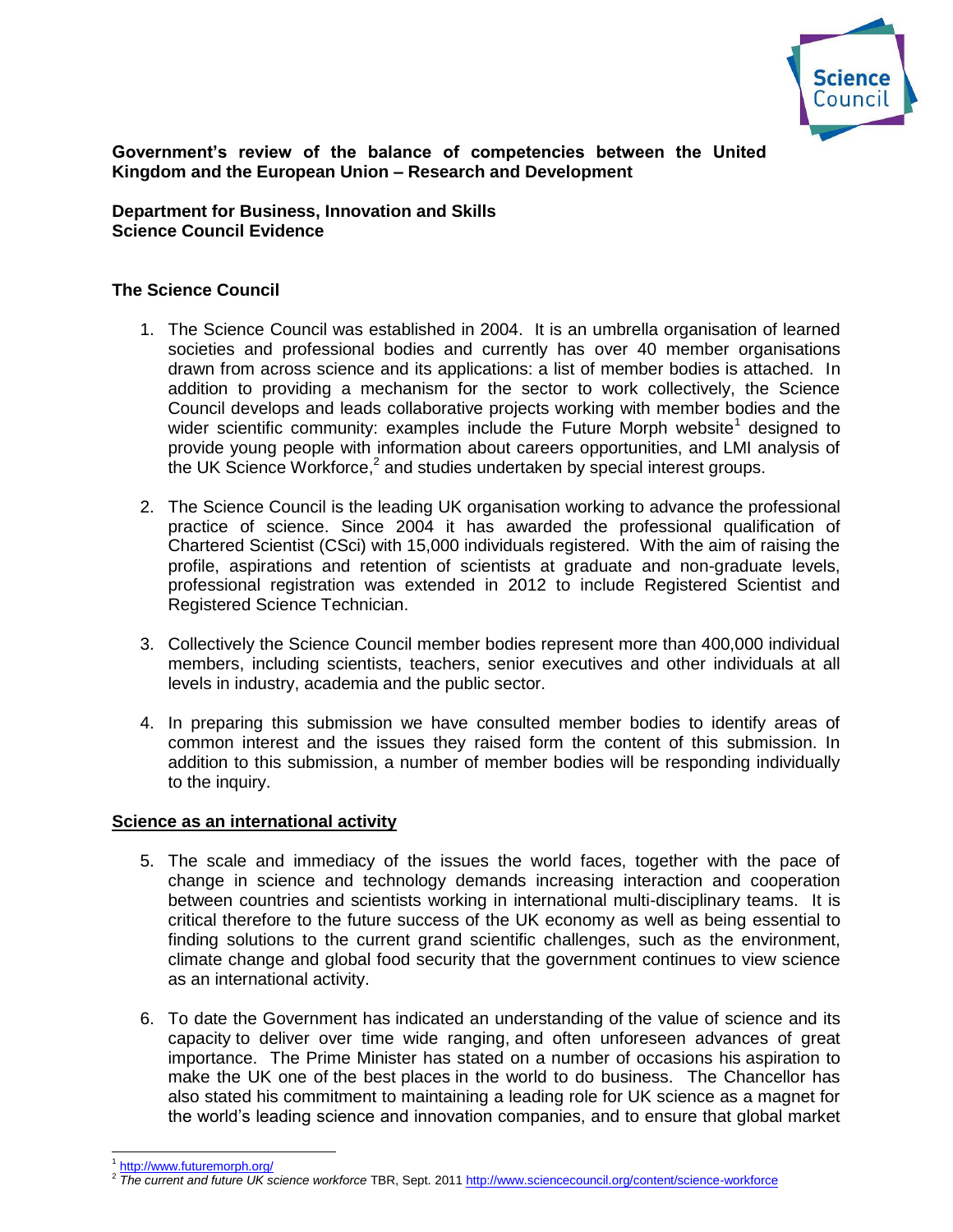

**Government's review of the balance of competencies between the United Kingdom and the European Union – Research and Development**

**Department for Business, Innovation and Skills Science Council Evidence**

# **The Science Council**

- 1. The Science Council was established in 2004. It is an umbrella organisation of learned societies and professional bodies and currently has over 40 member organisations drawn from across science and its applications: a list of member bodies is attached. In addition to providing a mechanism for the sector to work collectively, the Science Council develops and leads collaborative projects working with member bodies and the wider scientific community: examples include the Future Morph website<sup>1</sup> designed to provide young people with information about careers opportunities, and LMI analysis of the UK Science Workforce,<sup>2</sup> and studies undertaken by special interest groups.
- 2. The Science Council is the leading UK organisation working to advance the professional practice of science. Since 2004 it has awarded the professional qualification of Chartered Scientist (CSci) with 15,000 individuals registered. With the aim of raising the profile, aspirations and retention of scientists at graduate and non-graduate levels, professional registration was extended in 2012 to include Registered Scientist and Registered Science Technician.
- 3. Collectively the Science Council member bodies represent more than 400,000 individual members, including scientists, teachers, senior executives and other individuals at all levels in industry, academia and the public sector.
- 4. In preparing this submission we have consulted member bodies to identify areas of common interest and the issues they raised form the content of this submission. In addition to this submission, a number of member bodies will be responding individually to the inquiry.

### **Science as an international activity**

- 5. The scale and immediacy of the issues the world faces, together with the pace of change in science and technology demands increasing interaction and cooperation between countries and scientists working in international multi-disciplinary teams. It is critical therefore to the future success of the UK economy as well as being essential to finding solutions to the current grand scientific challenges, such as the environment, climate change and global food security that the government continues to view science as an international activity.
- 6. To date the Government has indicated an understanding of the value of science and its capacity to deliver over time wide ranging, and often unforeseen advances of great importance. The Prime Minister has stated on a number of occasions his aspiration to make the UK one of the best places in the world to do business. The Chancellor has also stated his commitment to maintaining a leading role for UK science as a magnet for the world's leading science and innovation companies, and to ensure that global market

<sup>1</sup> <http://www.futuremorph.org/>

<sup>2</sup> *The current and future UK science workforce* TBR, Sept. 201[1 http://www.sciencecouncil.org/content/science-workforce](http://www.sciencecouncil.org/content/science-workforce)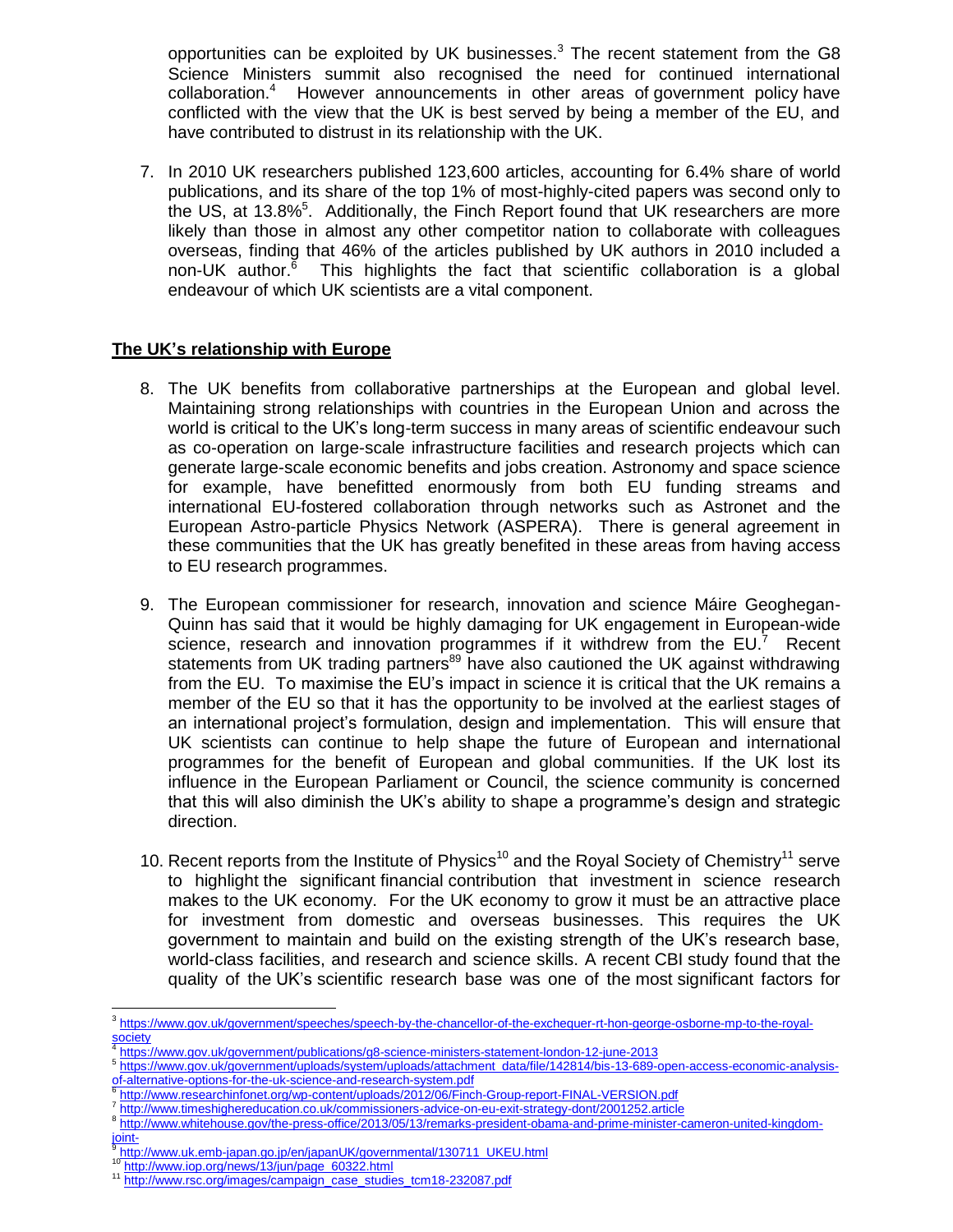opportunities can be exploited by UK businesses. $3$  The recent statement from the G8 Science Ministers summit also recognised the need for continued international collaboration.<sup>4</sup> However announcements in other areas of government policy have conflicted with the view that the UK is best served by being a member of the EU, and have contributed to distrust in its relationship with the UK.

7. In 2010 UK researchers published 123,600 articles, accounting for 6.4% share of world publications, and its share of the top 1% of most-highly-cited papers was second only to the US, at 13.8%<sup>5</sup>. Additionally, the Finch Report found that UK researchers are more likely than those in almost any other competitor nation to collaborate with colleagues overseas, finding that 46% of the articles published by UK authors in 2010 included a non-UK author.<sup>6</sup> This highlights the fact that scientific collaboration is a global endeavour of which UK scientists are a vital component.

# **The UK's relationship with Europe**

- 8. The UK benefits from collaborative partnerships at the European and global level. Maintaining strong relationships with countries in the European Union and across the world is critical to the UK's long-term success in many areas of scientific endeavour such as co-operation on large-scale infrastructure facilities and research projects which can generate large-scale economic benefits and jobs creation. Astronomy and space science for example, have benefitted enormously from both EU funding streams and international EU-fostered collaboration through networks such as Astronet and the European Astro-particle Physics Network (ASPERA). There is general agreement in these communities that the UK has greatly benefited in these areas from having access to EU research programmes.
- 9. The European commissioner for research, innovation and science Máire Geoghegan-Quinn has said that it would be highly damaging for UK engagement in European-wide science, research and innovation programmes if it withdrew from the  $EU^7$  Recent statements from UK trading partners<sup>89</sup> have also cautioned the UK against withdrawing from the EU. To maximise the EU's impact in science it is critical that the UK remains a member of the EU so that it has the opportunity to be involved at the earliest stages of an international project's formulation, design and implementation. This will ensure that UK scientists can continue to help shape the future of European and international programmes for the benefit of European and global communities. If the UK lost its influence in the European Parliament or Council, the science community is concerned that this will also diminish the UK's ability to shape a programme's design and strategic direction.
- 10. Recent reports from the Institute of Physics<sup>10</sup> and the Royal Society of Chemistry<sup>11</sup> serve to highlight the significant financial contribution that investment in science research makes to the UK economy. For the UK economy to grow it must be an attractive place for investment from domestic and overseas businesses. This requires the UK government to maintain and build on the existing strength of the UK's research base, world-class facilities, and research and science skills. A recent CBI study found that the quality of the UK's scientific research base was one of the most significant factors for

- <http://www.researchinfonet.org/wp-content/uploads/2012/06/Finch-Group-report-FINAL-VERSION.pdf>
- 7 <http://www.timeshighereducation.co.uk/commissioners-advice-on-eu-exit-strategy-dont/2001252.article>

[http://www.iop.org/news/13/jun/page\\_60322.html](http://www.iop.org/news/13/jun/page_60322.html)

 $\overline{a}$ 3 [https://www.gov.uk/government/speeches/speech-by-the-chancellor-of-the-exchequer-rt-hon-george-osborne-mp-to-the-royal-](https://www.gov.uk/government/speeches/speech-by-the-chancellor-of-the-exchequer-rt-hon-george-osborne-mp-to-the-royal-society)

[society](https://www.gov.uk/government/speeches/speech-by-the-chancellor-of-the-exchequer-rt-hon-george-osborne-mp-to-the-royal-society) <https://www.gov.uk/government/publications/g8-science-ministers-statement-london-12-june-2013>

<sup>5</sup> [https://www.gov.uk/government/uploads/system/uploads/attachment\\_data/file/142814/bis-13-689-open-access-economic-analysis](https://www.gov.uk/government/uploads/system/uploads/attachment_data/file/142814/bis-13-689-open-access-economic-analysis-of-alternative-options-for-the-uk-science-and-research-system.pdf)[of-alternative-options-for-the-uk-science-and-research-system.pdf](https://www.gov.uk/government/uploads/system/uploads/attachment_data/file/142814/bis-13-689-open-access-economic-analysis-of-alternative-options-for-the-uk-science-and-research-system.pdf)<br><sup>6</sup> http://www.researchipfonst.org/wn.content/uploads/2012/06/Fine

<sup>8</sup> [http://www.whitehouse.gov/the-press-office/2013/05/13/remarks-president-obama-and-prime-minister-cameron-united-kingdom-](http://www.whitehouse.gov/the-press-office/2013/05/13/remarks-president-obama-and-prime-minister-cameron-united-kingdom-joint-)

ioint-9 [http://www.uk.emb-japan.go.jp/en/japanUK/governmental/130711\\_UKEU.html](http://www.uk.emb-japan.go.jp/en/japanUK/governmental/130711_UKEU.html)

<sup>&</sup>lt;sup>11</sup> [http://www.rsc.org/images/campaign\\_case\\_studies\\_tcm18-232087.pdf](http://www.rsc.org/images/campaign_case_studies_tcm18-232087.pdf)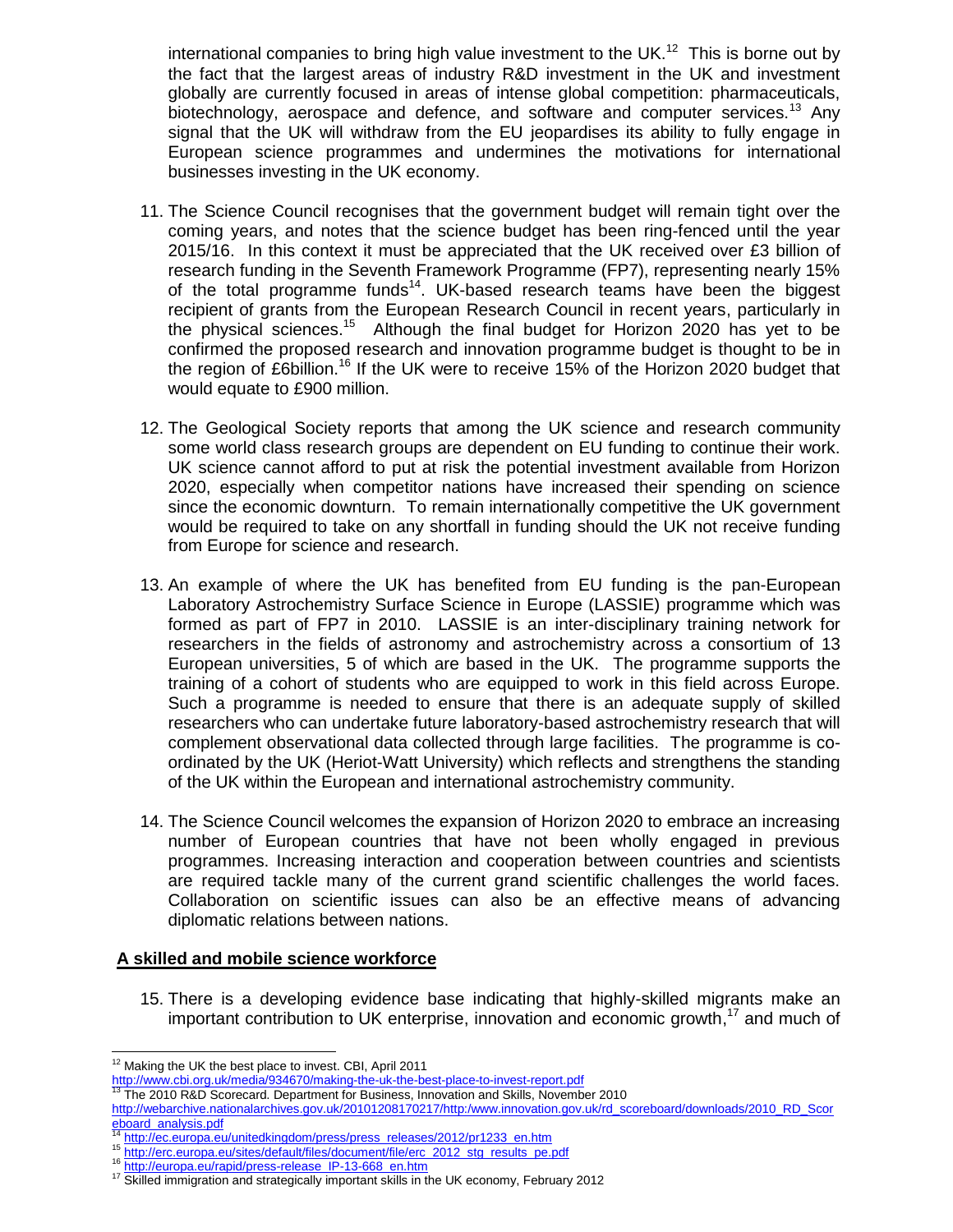international companies to bring high value investment to the UK.<sup>12</sup> This is borne out by the fact that the largest areas of industry R&D investment in the UK and investment globally are currently focused in areas of intense global competition: pharmaceuticals, biotechnology, aerospace and defence, and software and computer services.<sup>13</sup> Any signal that the UK will withdraw from the EU jeopardises its ability to fully engage in European science programmes and undermines the motivations for international businesses investing in the UK economy.

- 11. The Science Council recognises that the government budget will remain tight over the coming years, and notes that the science budget has been ring-fenced until the year 2015/16. In this context it must be appreciated that the UK received over £3 billion of research funding in the Seventh Framework Programme (FP7), representing nearly 15% of the total programme funds<sup>14</sup>. UK-based research teams have been the biggest recipient of grants from the European Research Council in recent years, particularly in the physical sciences.<sup>15</sup> Although the final budget for Horizon 2020 has yet to be confirmed the proposed research and innovation programme budget is thought to be in the region of £6billion.<sup>16</sup> If the UK were to receive 15% of the Horizon 2020 budget that would equate to £900 million.
- 12. The Geological Society reports that among the UK science and research community some world class research groups are dependent on EU funding to continue their work. UK science cannot afford to put at risk the potential investment available from Horizon 2020, especially when competitor nations have increased their spending on science since the economic downturn. To remain internationally competitive the UK government would be required to take on any shortfall in funding should the UK not receive funding from Europe for science and research.
- 13. An example of where the UK has benefited from EU funding is the pan-European Laboratory Astrochemistry Surface Science in Europe (LASSIE) programme which was formed as part of FP7 in 2010. LASSIE is an inter-disciplinary training network for researchers in the fields of astronomy and astrochemistry across a consortium of 13 European universities, 5 of which are based in the UK. The programme supports the training of a cohort of students who are equipped to work in this field across Europe. Such a programme is needed to ensure that there is an adequate supply of skilled researchers who can undertake future laboratory-based astrochemistry research that will complement observational data collected through large facilities. The programme is coordinated by the UK (Heriot-Watt University) which reflects and strengthens the standing of the UK within the European and international astrochemistry community.
- 14. The Science Council welcomes the expansion of Horizon 2020 to embrace an increasing number of European countries that have not been wholly engaged in previous programmes. Increasing interaction and cooperation between countries and scientists are required tackle many of the current grand scientific challenges the world faces. Collaboration on scientific issues can also be an effective means of advancing diplomatic relations between nations.

### **A skilled and mobile science workforce**

15. There is a developing evidence base indicating that highly-skilled migrants make an important contribution to UK enterprise, innovation and economic growth,<sup>17</sup> and much of

- http://www.cbi.org.uk/media/934670/making-the-uk-the-best-place-to-invest-report.pdf<br><sup>13</sup> The 2010 B 8 D Secretary 034670/making-the-uk-the-best-place-to-invest-report.pdf <sup>13</sup> The 2010 R&D Scorecard. Department for Business, Innovation and Skills, November 2010
- [http://webarchive.nationalarchives.gov.uk/20101208170217/http:/www.innovation.gov.uk/rd\\_scoreboard/downloads/2010\\_RD\\_Scor](http://webarchive.nationalarchives.gov.uk/20101208170217/http:/www.innovation.gov.uk/rd_scoreboard/downloads/2010_RD_Scoreboard_analysis.pdf) eboard\_analysis.pdf

  $12$  Making the UK the best place to invest. CBI, April 2011

[http://ec.europa.eu/unitedkingdom/press/press\\_releases/2012/pr1233\\_en.htm](http://ec.europa.eu/unitedkingdom/press/press_releases/2012/pr1233_en.htm)

<sup>15</sup> [http://erc.europa.eu/sites/default/files/document/file/erc\\_2012\\_stg\\_results\\_pe.pdf](http://erc.europa.eu/sites/default/files/document/file/erc_2012_stg_results_pe.pdf)

<sup>16</sup> [http://europa.eu/rapid/press-release\\_IP-13-668\\_en.htm](http://europa.eu/rapid/press-release_IP-13-668_en.htm)

<sup>&</sup>lt;sup>17</sup> Skilled immigration and strategically important skills in the UK economy, February 2012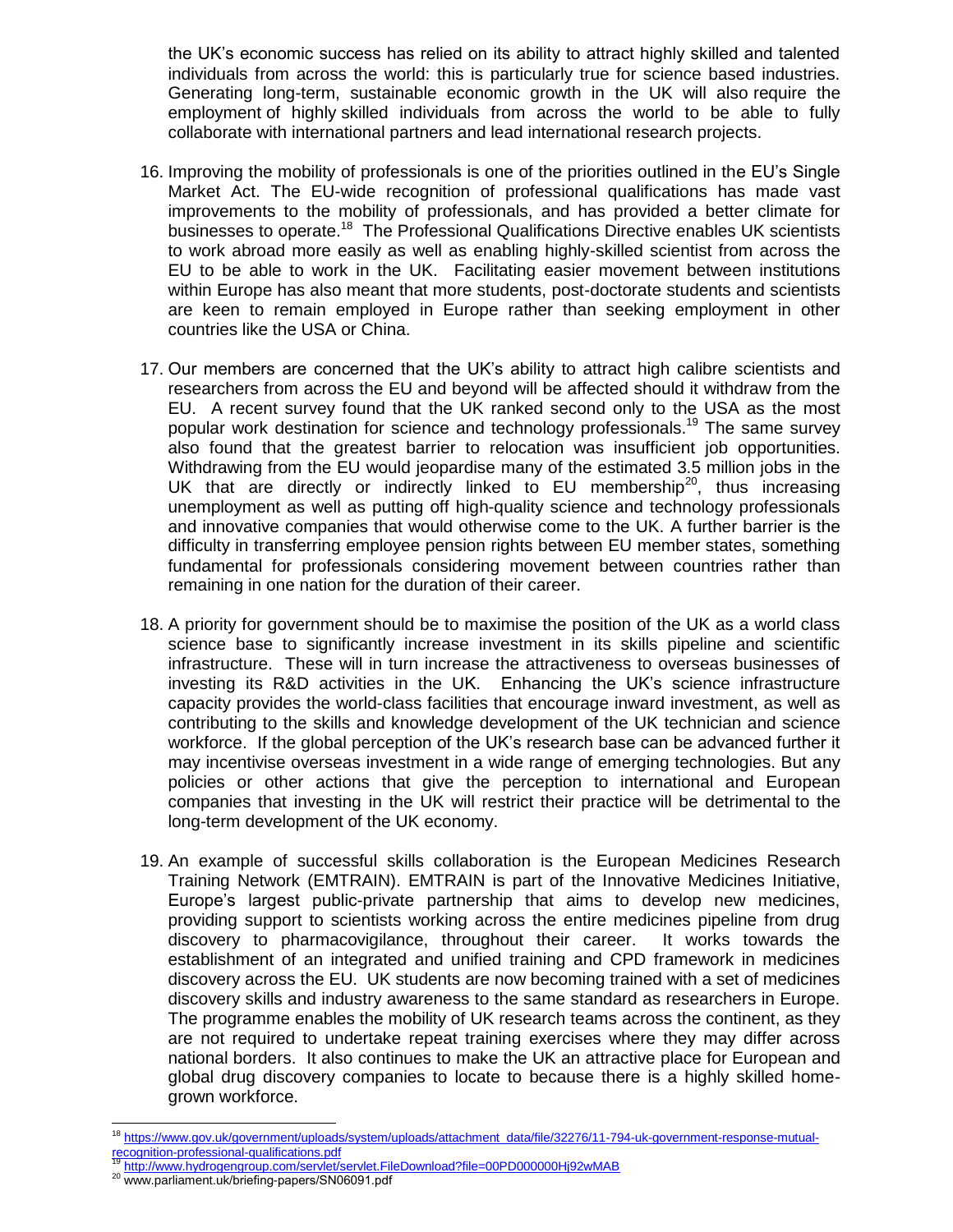the UK's economic success has relied on its ability to attract highly skilled and talented individuals from across the world: this is particularly true for science based industries. Generating long-term, sustainable economic growth in the UK will also require the employment of highly skilled individuals from across the world to be able to fully collaborate with international partners and lead international research projects.

- 16. Improving the mobility of professionals is one of the priorities outlined in the EU's Single Market Act. The EU-wide recognition of professional qualifications has made vast improvements to the mobility of professionals, and has provided a better climate for businesses to operate.<sup>18</sup> The Professional Qualifications Directive enables UK scientists to work abroad more easily as well as enabling highly-skilled scientist from across the EU to be able to work in the UK. Facilitating easier movement between institutions within Europe has also meant that more students, post-doctorate students and scientists are keen to remain employed in Europe rather than seeking employment in other countries like the USA or China.
- 17. Our members are concerned that the UK's ability to attract high calibre scientists and researchers from across the EU and beyond will be affected should it withdraw from the EU. A recent survey found that the UK ranked second only to the USA as the most popular work destination for science and technology professionals.<sup>19</sup> The same survey also found that the greatest barrier to relocation was insufficient job opportunities. Withdrawing from the EU would jeopardise many of the estimated 3.5 million jobs in the UK that are directly or indirectly linked to EU membership<sup>20</sup>, thus increasing unemployment as well as putting off high-quality science and technology professionals and innovative companies that would otherwise come to the UK. A further barrier is the difficulty in transferring employee pension rights between EU member states, something fundamental for professionals considering movement between countries rather than remaining in one nation for the duration of their career.
- 18. A priority for government should be to maximise the position of the UK as a world class science base to significantly increase investment in its skills pipeline and scientific infrastructure. These will in turn increase the attractiveness to overseas businesses of investing its R&D activities in the UK. Enhancing the UK's science infrastructure capacity provides the world-class facilities that encourage inward investment, as well as contributing to the skills and knowledge development of the UK technician and science workforce. If the global perception of the UK's research base can be advanced further it may incentivise overseas investment in a wide range of emerging technologies. But any policies or other actions that give the perception to international and European companies that investing in the UK will restrict their practice will be detrimental to the long-term development of the UK economy.
- 19. An example of successful skills collaboration is the European Medicines Research Training Network (EMTRAIN). EMTRAIN is part of the Innovative Medicines Initiative, Europe's largest public-private partnership that aims to develop new medicines, providing support to scientists working across the entire medicines pipeline from drug discovery to pharmacovigilance, throughout their career. It works towards the establishment of an integrated and unified training and CPD framework in medicines discovery across the EU. UK students are now becoming trained with a set of medicines discovery skills and industry awareness to the same standard as researchers in Europe. The programme enables the mobility of UK research teams across the continent, as they are not required to undertake repeat training exercises where they may differ across national borders. It also continues to make the UK an attractive place for European and global drug discovery companies to locate to because there is a highly skilled homegrown workforce.

<sup>&</sup>lt;sup>18</sup> [https://www.gov.uk/government/uploads/system/uploads/attachment\\_data/file/32276/11-794-uk-government-response-mutual](https://www.gov.uk/government/uploads/system/uploads/attachment_data/file/32276/11-794-uk-government-response-mutual-recognition-professional-qualifications.pdf)[recognition-professional-qualifications.pdf](https://www.gov.uk/government/uploads/system/uploads/attachment_data/file/32276/11-794-uk-government-response-mutual-recognition-professional-qualifications.pdf)

<http://www.hydrogengroup.com/servlet/servlet.FileDownload?file=00PD000000Hj92wMAB>

<sup>&</sup>lt;sup>20</sup> www.parliament.uk/briefing-papers/SN06091.pdf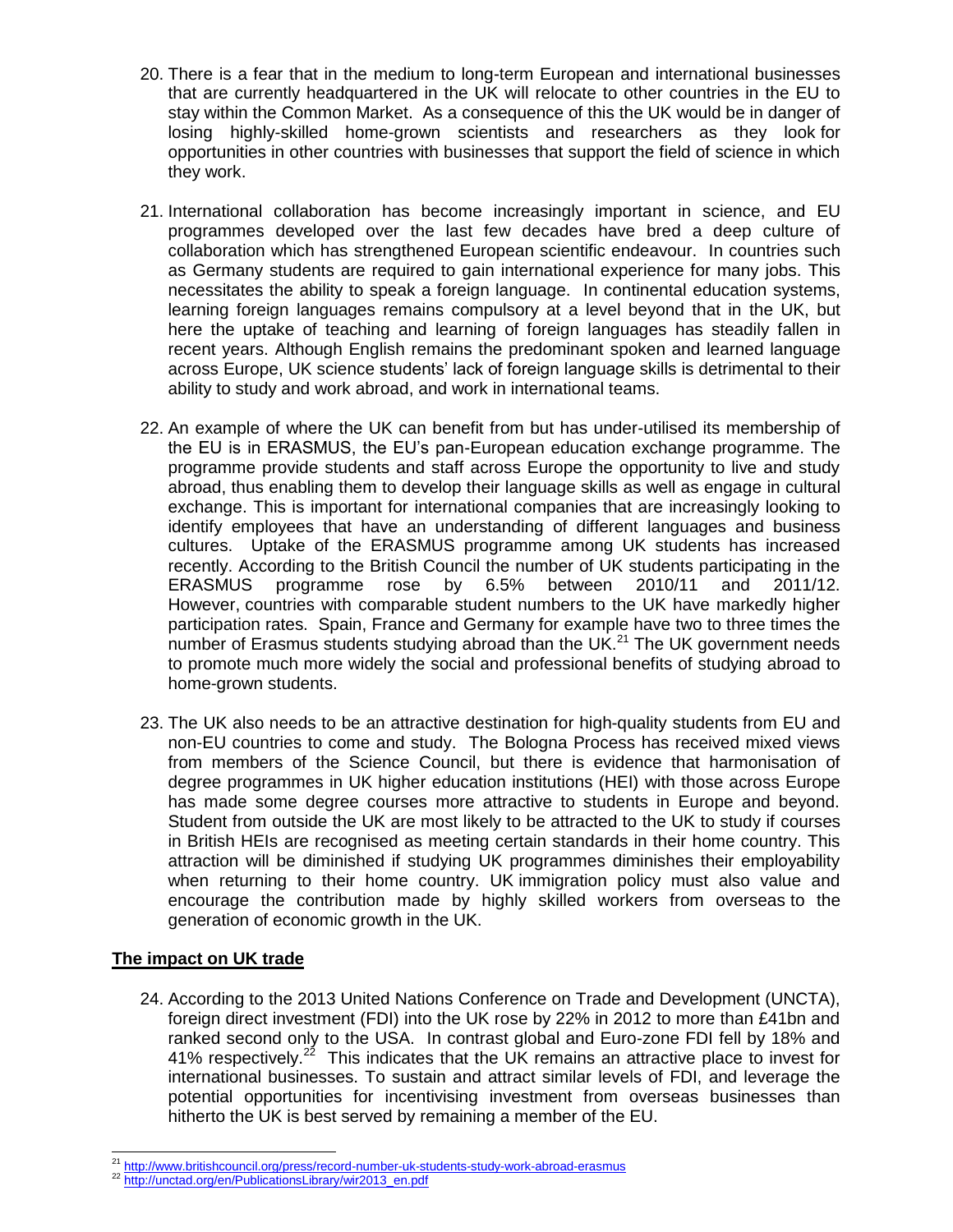- 20. There is a fear that in the medium to long-term European and international businesses that are currently headquartered in the UK will relocate to other countries in the EU to stay within the Common Market. As a consequence of this the UK would be in danger of losing highly-skilled home-grown scientists and researchers as they look for opportunities in other countries with businesses that support the field of science in which they work.
- 21. International collaboration has become increasingly important in science, and EU programmes developed over the last few decades have bred a deep culture of collaboration which has strengthened European scientific endeavour. In countries such as Germany students are required to gain international experience for many jobs. This necessitates the ability to speak a foreign language. In continental education systems, learning foreign languages remains compulsory at a level beyond that in the UK, but here the uptake of teaching and learning of foreign languages has steadily fallen in recent years. Although English remains the predominant spoken and learned language across Europe, UK science students' lack of foreign language skills is detrimental to their ability to study and work abroad, and work in international teams.
- 22. An example of where the UK can benefit from but has under-utilised its membership of the EU is in ERASMUS, the EU's pan-European education exchange programme. The programme provide students and staff across Europe the opportunity to live and study abroad, thus enabling them to develop their language skills as well as engage in cultural exchange. This is important for international companies that are increasingly looking to identify employees that have an understanding of different languages and business cultures. Uptake of the ERASMUS programme among UK students has increased recently. According to the British Council the number of UK students participating in the ERASMUS programme rose by 6.5% between 2010/11 and 2011/12. However, countries with comparable student numbers to the UK have markedly higher participation rates. Spain, France and Germany for example have two to three times the number of Erasmus students studying abroad than the UK.<sup>21</sup> The UK government needs to promote much more widely the social and professional benefits of studying abroad to home-grown students.
- 23. The UK also needs to be an attractive destination for high-quality students from EU and non-EU countries to come and study. The Bologna Process has received mixed views from members of the Science Council, but there is evidence that harmonisation of degree programmes in UK higher education institutions (HEI) with those across Europe has made some degree courses more attractive to students in Europe and beyond. Student from outside the UK are most likely to be attracted to the UK to study if courses in British HEIs are recognised as meeting certain standards in their home country. This attraction will be diminished if studying UK programmes diminishes their employability when returning to their home country. UK immigration policy must also value and encourage the contribution made by highly skilled workers from overseas to the generation of economic growth in the UK.

# **The impact on UK trade**

24. According to the 2013 United Nations Conference on Trade and Development (UNCTA), foreign direct investment (FDI) into the UK rose by 22% in 2012 to more than £41bn and ranked second only to the USA. In contrast global and Euro-zone FDI fell by 18% and 41% respectively.<sup>22</sup> This indicates that the UK remains an attractive place to invest for international businesses. To sustain and attract similar levels of FDI, and leverage the potential opportunities for incentivising investment from overseas businesses than hitherto the UK is best served by remaining a member of the EU.

<sup>&</sup>lt;sup>21</sup> <http://www.britishcouncil.org/press/record-number-uk-students-study-work-abroad-erasmus>

<sup>&</sup>lt;sup>22</sup> http://unctad<u>.org/en/PublicationsLibrary/wir2013\_en.pdf</u>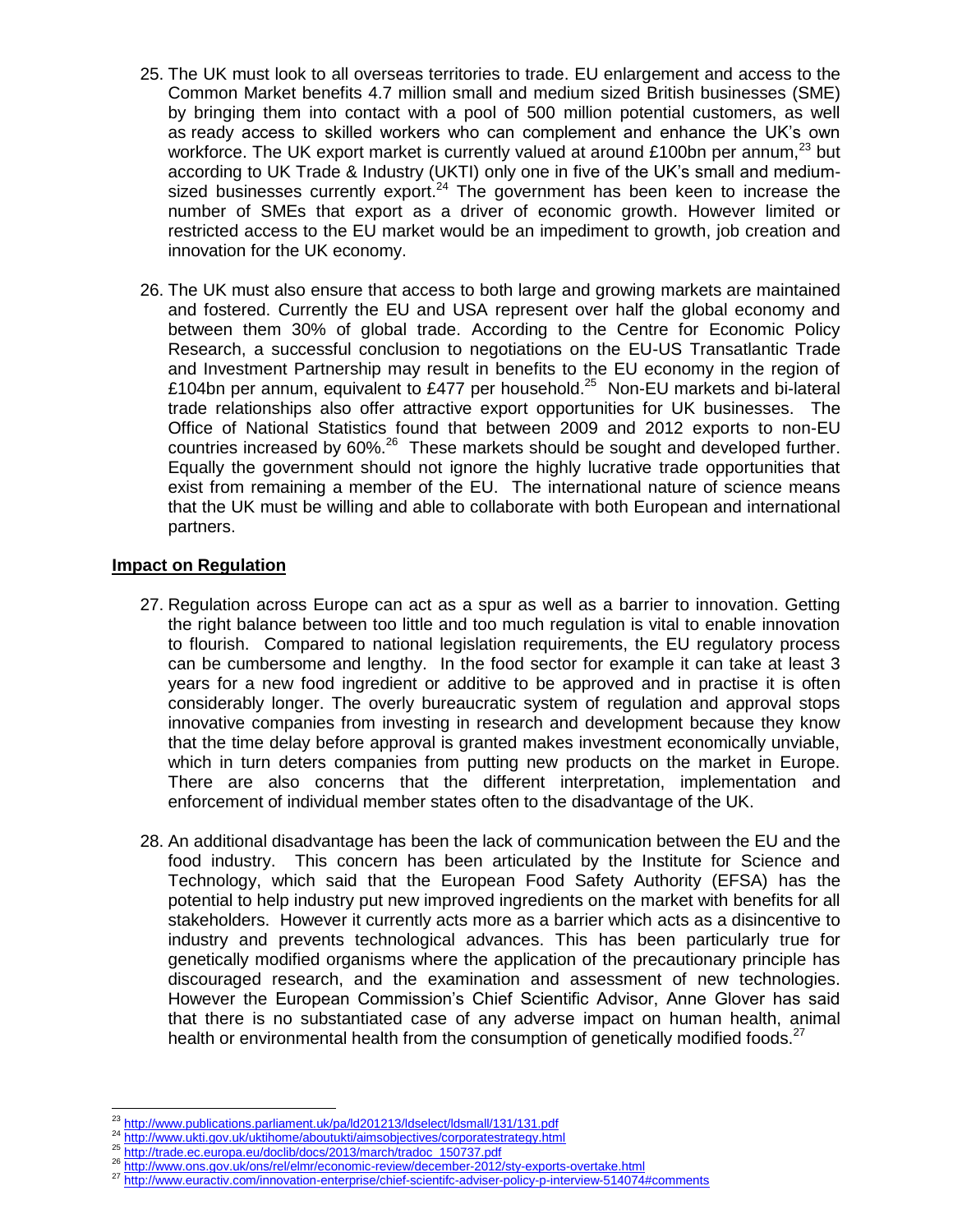- 25. The UK must look to all overseas territories to trade. EU enlargement and access to the Common Market benefits 4.7 million small and medium sized British businesses (SME) by bringing them into contact with a pool of 500 million potential customers, as well as ready access to skilled workers who can complement and enhance the UK's own workforce. The UK export market is currently valued at around £100bn per annum,<sup>23</sup> but according to UK Trade & Industry (UKTI) only one in five of the UK's small and mediumsized businesses currently export.<sup>24</sup> The government has been keen to increase the number of SMEs that export as a driver of economic growth. However limited or restricted access to the EU market would be an impediment to growth, job creation and innovation for the UK economy.
- 26. The UK must also ensure that access to both large and growing markets are maintained and fostered. Currently the EU and USA represent over half the global economy and between them 30% of global trade. According to the Centre for Economic Policy Research, a successful conclusion to negotiations on the EU-US Transatlantic Trade and Investment Partnership may result in benefits to the EU economy in the region of £104bn per annum, equivalent to £477 per household.<sup>25</sup> Non-EU markets and bi-lateral trade relationships also offer attractive export opportunities for UK businesses. The Office of National Statistics found that between 2009 and 2012 exports to non-EU countries increased by  $60\%$ <sup>26</sup> These markets should be sought and developed further. Equally the government should not ignore the highly lucrative trade opportunities that exist from remaining a member of the EU. The international nature of science means that the UK must be willing and able to collaborate with both European and international partners.

### **Impact on Regulation**

- 27. Regulation across Europe can act as a spur as well as a barrier to innovation. Getting the right balance between too little and too much regulation is vital to enable innovation to flourish. Compared to national legislation requirements, the EU regulatory process can be cumbersome and lengthy. In the food sector for example it can take at least 3 years for a new food ingredient or additive to be approved and in practise it is often considerably longer. The overly bureaucratic system of regulation and approval stops innovative companies from investing in research and development because they know that the time delay before approval is granted makes investment economically unviable, which in turn deters companies from putting new products on the market in Europe. There are also concerns that the different interpretation, implementation and enforcement of individual member states often to the disadvantage of the UK.
- 28. An additional disadvantage has been the lack of communication between the EU and the food industry. This concern has been articulated by the Institute for Science and Technology, which said that the European Food Safety Authority (EFSA) has the potential to help industry put new improved ingredients on the market with benefits for all stakeholders. However it currently acts more as a barrier which acts as a disincentive to industry and prevents technological advances. This has been particularly true for genetically modified organisms where the application of the precautionary principle has discouraged research, and the examination and assessment of new technologies. However the European Commission's Chief Scientific Advisor, Anne Glover has said that there is no substantiated case of any adverse impact on human health, animal health or environmental health from the consumption of genetically modified foods.<sup>27</sup>

 $\overline{a}$  $^{23}$  <http://www.publications.parliament.uk/pa/ld201213/ldselect/ldsmall/131/131.pdf><br> $^{24}$  http://www.publications.parliament.uk/pa/ld201213/ldselect/ldsmall/131/131.pdf

<http://www.ukti.gov.uk/uktihome/aboutukti/aimsobjectives/corporatestrategy.html>

<sup>&</sup>lt;sup>25</sup> [http://trade.ec.europa.eu/doclib/docs/2013/march/tradoc\\_150737.pdf](http://trade.ec.europa.eu/doclib/docs/2013/march/tradoc_150737.pdf)

<http://www.ons.gov.uk/ons/rel/elmr/economic-review/december-2012/sty-exports-overtake.html>

<sup>27</sup> <http://www.euractiv.com/innovation-enterprise/chief-scientifc-adviser-policy-p-interview-514074#comments>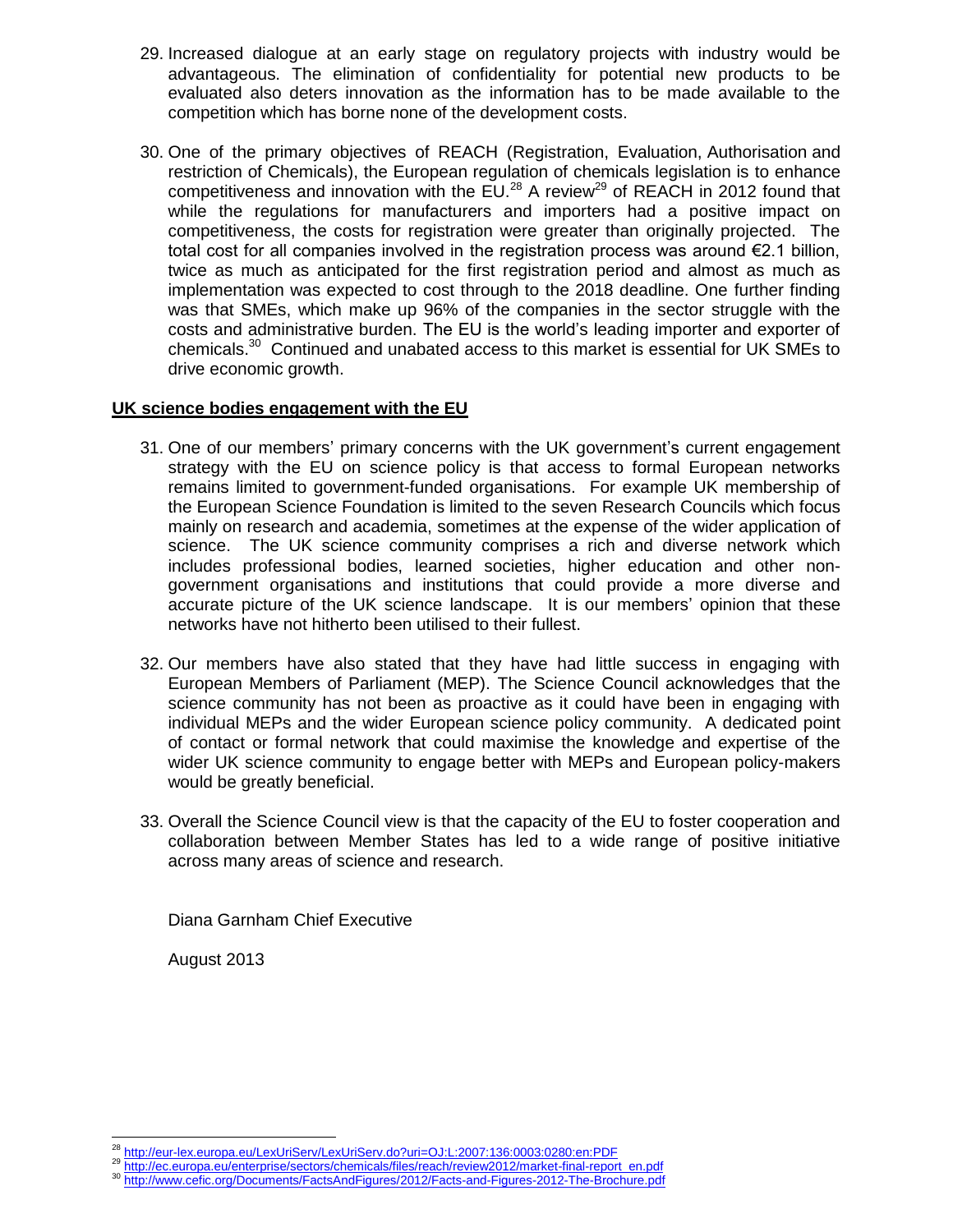- 29. Increased dialogue at an early stage on regulatory projects with industry would be advantageous. The elimination of confidentiality for potential new products to be evaluated also deters innovation as the information has to be made available to the competition which has borne none of the development costs.
- 30. One of the primary objectives of REACH (Registration, Evaluation, Authorisation and restriction of Chemicals), the European regulation of chemicals legislation is to enhance competitiveness and innovation with the EU.<sup>28</sup> A review<sup>29</sup> of REACH in 2012 found that while the regulations for manufacturers and importers had a positive impact on competitiveness, the costs for registration were greater than originally projected. The total cost for all companies involved in the registration process was around  $E$ 2.1 billion, twice as much as anticipated for the first registration period and almost as much as implementation was expected to cost through to the 2018 deadline. One further finding was that SMEs, which make up 96% of the companies in the sector struggle with the costs and administrative burden. The EU is the world's leading importer and exporter of chemicals.<sup>30</sup> Continued and unabated access to this market is essential for UK SMEs to drive economic growth.

## **UK science bodies engagement with the EU**

- 31. One of our members' primary concerns with the UK government's current engagement strategy with the EU on science policy is that access to formal European networks remains limited to government-funded organisations. For example UK membership of the European Science Foundation is limited to the seven Research Councils which focus mainly on research and academia, sometimes at the expense of the wider application of science. The UK science community comprises a rich and diverse network which includes professional bodies, learned societies, higher education and other nongovernment organisations and institutions that could provide a more diverse and accurate picture of the UK science landscape. It is our members' opinion that these networks have not hitherto been utilised to their fullest.
- 32. Our members have also stated that they have had little success in engaging with European Members of Parliament (MEP). The Science Council acknowledges that the science community has not been as proactive as it could have been in engaging with individual MEPs and the wider European science policy community. A dedicated point of contact or formal network that could maximise the knowledge and expertise of the wider UK science community to engage better with MEPs and European policy-makers would be greatly beneficial.
- 33. Overall the Science Council view is that the capacity of the EU to foster cooperation and collaboration between Member States has led to a wide range of positive initiative across many areas of science and research.

Diana Garnham Chief Executive

August 2013

 $\overline{a}$ <sup>28</sup> <http://eur-lex.europa.eu/LexUriServ/LexUriServ.do?uri=OJ:L:2007:136:0003:0280:en:PDF>

<sup>29</sup> http://ec.europa.eu/enterprise.com/enterprise/sectors/chemicals/files/reach/review2012/market-final-report\_en.pdf<br>30 http://ee.europa.eu/enterprise/sectors/chemicals/files/reach/review2012/market-final-report\_en.pdf

<http://www.cefic.org/Documents/FactsAndFigures/2012/Facts-and-Figures-2012-The-Brochure.pdf>